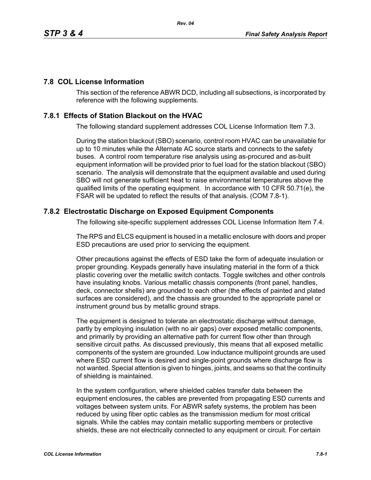## **7.8 COL License Information**

This section of the reference ABWR DCD, including all subsections, is incorporated by reference with the following supplements.

## **7.8.1 Effects of Station Blackout on the HVAC**

The following standard supplement addresses COL License Information Item 7.3.

During the station blackout (SBO) scenario, control room HVAC can be unavailable for up to 10 minutes while the Alternate AC source starts and connects to the safety buses. A control room temperature rise analysis using as-procured and as-built equipment information will be provided prior to fuel load for the station blackout (SBO) scenario. The analysis will demonstrate that the equipment available and used during SBO will not generate sufficient heat to raise environmental temperatures above the qualified limits of the operating equipment. In accordance with 10 CFR 50.71(e), the FSAR will be updated to reflect the results of that analysis. (COM 7.8-1).

## **7.8.2 Electrostatic Discharge on Exposed Equipment Components**

The following site-specific supplement addresses COL License Information Item 7.4.

The RPS and ELCS equipment is housed in a metallic enclosure with doors and proper ESD precautions are used prior to servicing the equipment.

Other precautions against the effects of ESD take the form of adequate insulation or proper grounding. Keypads generally have insulating material in the form of a thick plastic covering over the metallic switch contacts. Toggle switches and other controls have insulating knobs. Various metallic chassis components (front panel, handles, deck, connector shells) are grounded to each other (the effects of painted and plated surfaces are considered), and the chassis are grounded to the appropriate panel or instrument ground bus by metallic ground straps.

The equipment is designed to tolerate an electrostatic discharge without damage, partly by employing insulation (with no air gaps) over exposed metallic components, and primarily by providing an alternative path for current flow other than through sensitive circuit paths. As discussed previously, this means that all exposed metallic components of the system are grounded. Low inductance multipoint grounds are used where ESD current flow is desired and single-point grounds where discharge flow is not wanted. Special attention is given to hinges, joints, and seams so that the continuity of shielding is maintained.

In the system configuration, where shielded cables transfer data between the equipment enclosures, the cables are prevented from propagating ESD currents and voltages between system units. For ABWR safety systems, the problem has been reduced by using fiber optic cables as the transmission medium for most critical signals. While the cables may contain metallic supporting members or protective shields, these are not electrically connected to any equipment or circuit. For certain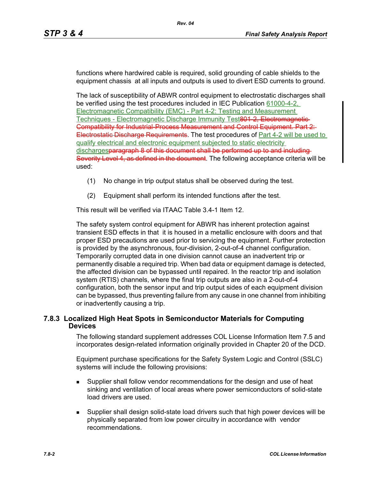functions where hardwired cable is required, solid grounding of cable shields to the equipment chassis at all inputs and outputs is used to divert ESD currents to ground.

The lack of susceptibility of ABWR control equipment to electrostatic discharges shall be verified using the test procedures included in IEC Publication 61000-4-2, Electromagnetic Compatibility (EMC) - Part 4-2: Testing and Measurement Techniques - Electromagnetic Discharge Immunity Test801-2, Electromagnet Compatibility for Industrial-Process Measurement and Control Equipment. Part 2:-Electrostatic Discharge Requirements. The test procedures of Part 4-2 will be used to qualify electrical and electronic equipment subjected to static electricity dischargesparagraph 8 of this document shall be performed up to and including-Severity Level 4, as defined in the document. The following acceptance criteria will be used:

- (1) No change in trip output status shall be observed during the test.
- (2) Equipment shall perform its intended functions after the test.

This result will be verified via ITAAC Table 3.4-1 Item 12.

The safety system control equipment for ABWR has inherent protection against transient ESD effects in that it is housed in a metallic enclosure with doors and that proper ESD precautions are used prior to servicing the equipment. Further protection is provided by the asynchronous, four-division, 2-out-of-4 channel configuration. Temporarily corrupted data in one division cannot cause an inadvertent trip or permanently disable a required trip. When bad data or equipment damage is detected, the affected division can be bypassed until repaired. In the reactor trip and isolation system (RTIS) channels, where the final trip outputs are also in a 2-out-of-4 configuration, both the sensor input and trip output sides of each equipment division can be bypassed, thus preventing failure from any cause in one channel from inhibiting or inadvertently causing a trip.

## **7.8.3 Localized High Heat Spots in Semiconductor Materials for Computing Devices**

The following standard supplement addresses COL License Information Item 7.5 and incorporates design-related information originally provided in Chapter 20 of the DCD.

Equipment purchase specifications for the Safety System Logic and Control (SSLC) systems will include the following provisions:

- **Supplier shall follow vendor recommendations for the design and use of heat** sinking and ventilation of local areas where power semiconductors of solid-state load drivers are used.
- Supplier shall design solid-state load drivers such that high power devices will be physically separated from low power circuitry in accordance with vendor recommendations.